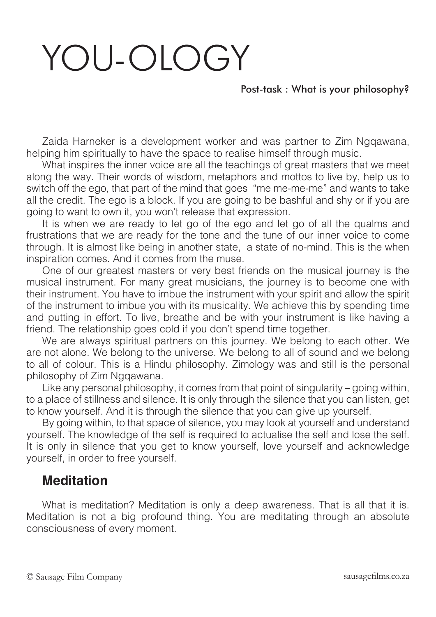# YOU-OLOGY

### Post-task : What is your philosophy?

Zaida Harneker is a development worker and was partner to Zim Ngqawana, helping him spiritually to have the space to realise himself through music.

What inspires the inner voice are all the teachings of great masters that we meet along the way. Their words of wisdom, metaphors and mottos to live by, help us to switch off the ego, that part of the mind that goes "me me-me-me" and wants to take all the credit. The ego is a block. If you are going to be bashful and shy or if you are going to want to own it, you won't release that expression.

It is when we are ready to let go of the ego and let go of all the qualms and frustrations that we are ready for the tone and the tune of our inner voice to come through. It is almost like being in another state, a state of no-mind. This is the when inspiration comes. And it comes from the muse.

One of our greatest masters or very best friends on the musical journey is the musical instrument. For many great musicians, the journey is to become one with their instrument. You have to imbue the instrument with your spirit and allow the spirit of the instrument to imbue you with its musicality. We achieve this by spending time and putting in effort. To live, breathe and be with your instrument is like having a friend. The relationship goes cold if you don't spend time together.

We are always spiritual partners on this journey. We belong to each other. We are not alone. We belong to the universe. We belong to all of sound and we belong to all of colour. This is a Hindu philosophy. Zimology was and still is the personal philosophy of Zim Ngqawana.

Like any personal philosophy, it comes from that point of singularity – going within, to a place of stillness and silence. It is only through the silence that you can listen, get to know yourself. And it is through the silence that you can give up yourself.

By going within, to that space of silence, you may look at yourself and understand yourself. The knowledge of the self is required to actualise the self and lose the self. It is only in silence that you get to know yourself, love yourself and acknowledge yourself, in order to free yourself.

## **Meditation**

What is meditation? Meditation is only a deep awareness. That is all that it is. Meditation is not a big profound thing. You are meditating through an absolute consciousness of every moment.